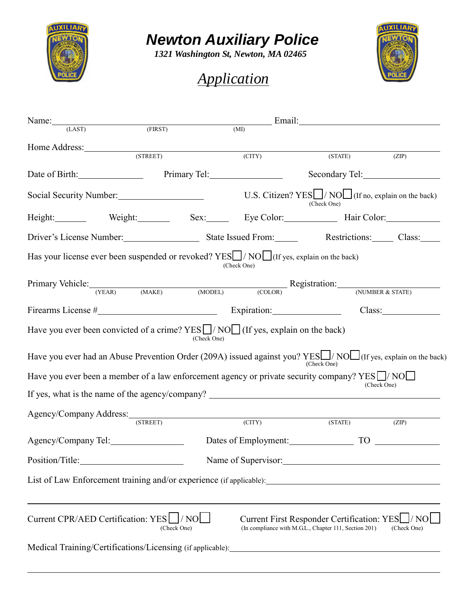

# *Newton Auxiliary Police*

*1321 Washington St, Newton, MA 02465*

# *Application*



 $\overline{a}$ 

| Name: $\frac{1}{100}$                                                                                                      |                             |             |             | <u>Email:</u> Email: Email: Email: Email: Email: Email: Email: Email: Email: Email: Email: Email: Email: Email: Email: Email: Email: Email: Email: Email: Email: Email: Email: Email: Email: Email: Email: Email: Email: Email: Ema |             |
|----------------------------------------------------------------------------------------------------------------------------|-----------------------------|-------------|-------------|-------------------------------------------------------------------------------------------------------------------------------------------------------------------------------------------------------------------------------------|-------------|
| (LAST)                                                                                                                     | (FIRST)                     |             | (MI)        |                                                                                                                                                                                                                                     |             |
| Home Address: (STREET)                                                                                                     |                             |             | (CITY)      | (STATE)                                                                                                                                                                                                                             | (ZIP)       |
| Date of Birth: Primary Tel:                                                                                                |                             |             |             |                                                                                                                                                                                                                                     |             |
| Social Security Number: U.S. Citizen? YES / NO (If no, explain on the back)                                                |                             |             |             | (Check One)                                                                                                                                                                                                                         |             |
| Height: Weight: Sex: Eye Color: Hair Color:                                                                                |                             |             |             |                                                                                                                                                                                                                                     |             |
| Driver's License Number. State Issued From: Restrictions: Class: Class:                                                    |                             |             |             |                                                                                                                                                                                                                                     |             |
| Has your license ever been suspended or revoked? YESL / NOL (If yes, explain on the back)                                  |                             |             | (Check One) |                                                                                                                                                                                                                                     |             |
| Primary Vehicle: (YEAR) (MAKE) (MODEL) (COLOR) Registration: (NUMBER & STATE)                                              |                             |             |             |                                                                                                                                                                                                                                     |             |
|                                                                                                                            |                             |             |             |                                                                                                                                                                                                                                     |             |
| Firearms License # Expiration:                                                                                             |                             |             |             |                                                                                                                                                                                                                                     | Class:      |
| Have you ever been convicted of a crime? $YES$ $\Box$ $\land$ $\land$ $\Box$ (If yes, explain on the back)                 |                             | (Check One) |             |                                                                                                                                                                                                                                     |             |
| Have you ever had an Abuse Prevention Order (209A) issued against you? YES $\Box$ /NO $\Box$ (If yes, explain on the back) |                             |             |             | (Check One)                                                                                                                                                                                                                         |             |
| Have you ever been a member of a law enforcement agency or private security company? $YES$ $\Box$ $\land$ $\land$ $\Box$   |                             |             |             |                                                                                                                                                                                                                                     |             |
|                                                                                                                            |                             |             |             |                                                                                                                                                                                                                                     | (Check One) |
|                                                                                                                            |                             |             |             |                                                                                                                                                                                                                                     |             |
|                                                                                                                            | $\overline{\text{(STREF)}}$ |             | (CITY)      | (STATE)                                                                                                                                                                                                                             | (ZIP)       |
| Agency/Company Tel:                                                                                                        |                             |             |             | Dates of Employment: TO TO                                                                                                                                                                                                          |             |
| Position/Title:                                                                                                            |                             |             |             | Name of Supervisor:                                                                                                                                                                                                                 |             |
|                                                                                                                            |                             |             |             |                                                                                                                                                                                                                                     |             |
| Current CPR/AED Certification: YES   / NO                                                                                  | (Check One)                 |             |             | Current First Responder Certification: YES   / NO<br>(In compliance with M.G.L., Chapter 111, Section 201)                                                                                                                          | (Check One) |
|                                                                                                                            |                             |             |             |                                                                                                                                                                                                                                     |             |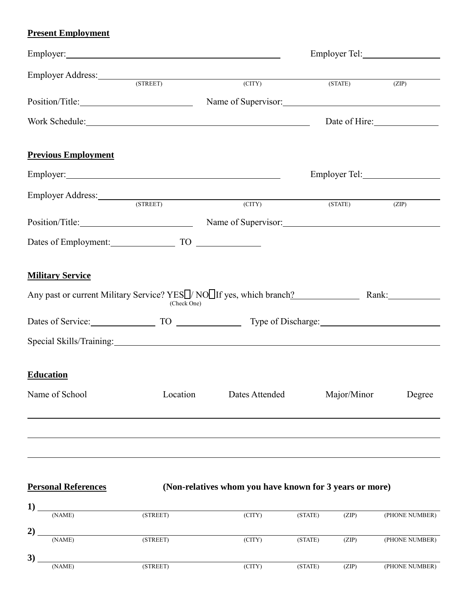### **Present Employment**

| Employer Address: (STREET)                                                                                   |             | (CITY)              | (STATE)     | (ZIP)         |
|--------------------------------------------------------------------------------------------------------------|-------------|---------------------|-------------|---------------|
| Position/Title:                                                                                              |             | Name of Supervisor: |             |               |
| Work Schedule: North Schedule:                                                                               |             |                     |             | Date of Hire: |
| <b>Previous Employment</b>                                                                                   |             |                     |             |               |
|                                                                                                              |             |                     |             |               |
| Employer Address: (STREET)                                                                                   |             | (CITY)              | (STATE)     | (ZIP)         |
| Position/Title: Name of Supervisor: Name of Supervisor:                                                      |             |                     |             |               |
| Dates of Employment: TO TO                                                                                   |             |                     |             |               |
| <b>Military Service</b>                                                                                      |             |                     |             |               |
| Any past or current Military Service? YES <sup>[]</sup> / NO <sup>[]</sup> If yes, which branch? Rank: Rank: | (Check One) |                     |             |               |
| Dates of Service: TO TO Type of Discharge:                                                                   |             |                     |             |               |
|                                                                                                              |             |                     |             |               |
| <b>Education</b>                                                                                             |             |                     |             |               |
| Name of School                                                                                               | Location    | Dates Attended      | Major/Minor | Degree        |
|                                                                                                              |             |                     |             |               |
|                                                                                                              |             |                     |             |               |

## **Personal References (Non-relatives whom you have known for 3 years or more)**

| д,            |        |          |        |         |       |                |
|---------------|--------|----------|--------|---------|-------|----------------|
|               | (NAME) | (STREET) | (CITY) | (STATE) | (ZIP) | (PHONE NUMBER) |
|               |        |          |        |         |       |                |
| $\mathbf{2})$ |        |          |        |         |       |                |
|               | (NAME) | (STREET) | (CITY) | (STATE) | (ZIP) | (PHONE NUMBER) |
|               |        |          |        |         |       |                |
| 3)            |        |          |        |         |       |                |
|               | (NAME) | (STREET) | (CITY) | (STATE) | (ZIP) | (PHONE NUMBER) |
|               |        |          |        |         |       |                |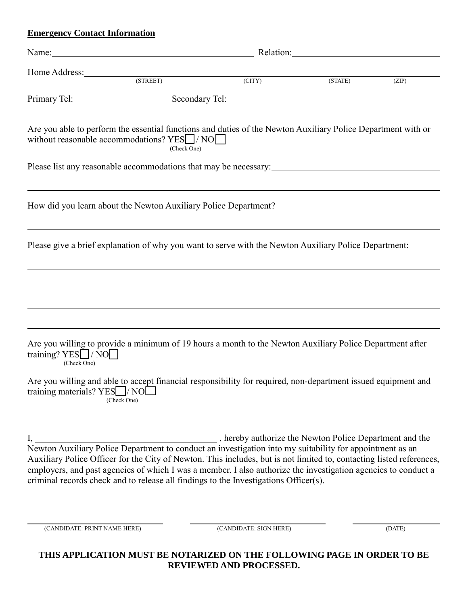#### **Emergency Contact Information**

| Name: Name: Name: Name: Name: Name: Name: Name: Name: Name: Name: Name: Name: Name: Name: Name: Name: Name: Name: Name: Name: Name: Name: Name: Name: Name: Name: Name: Name: Name: Name: Name: Name: Name: Name: Name: Name: |             |                                                                                                                        |                             |       |
|-------------------------------------------------------------------------------------------------------------------------------------------------------------------------------------------------------------------------------|-------------|------------------------------------------------------------------------------------------------------------------------|-----------------------------|-------|
| Home Address: (STREET) (CITY)                                                                                                                                                                                                 |             |                                                                                                                        | $\overline{\text{(STATE)}}$ | (ZIP) |
|                                                                                                                                                                                                                               |             |                                                                                                                        |                             |       |
| Are you able to perform the essential functions and duties of the Newton Auxiliary Police Department with or<br>without reasonable accommodations? $YES$ / NO                                                                 | (Check One) |                                                                                                                        |                             |       |
|                                                                                                                                                                                                                               |             |                                                                                                                        |                             |       |
|                                                                                                                                                                                                                               |             |                                                                                                                        |                             |       |
| Please give a brief explanation of why you want to serve with the Newton Auxiliary Police Department:                                                                                                                         |             | <u> 1989 - Andrea Santana, amerikana amerikana amerikana amerikana amerikana amerikana amerikana amerikana amerika</u> |                             |       |
|                                                                                                                                                                                                                               |             |                                                                                                                        |                             |       |
|                                                                                                                                                                                                                               |             |                                                                                                                        |                             |       |
| Are you willing to provide a minimum of 19 hours a month to the Newton Auxiliary Police Department after<br>training? YES VNO<br>(Check One)                                                                                  |             |                                                                                                                        |                             |       |
| Are you willing and able to accept financial responsibility for required, non-department issued equipment and<br>training materials? YES / NO<br>(Check One)                                                                  |             |                                                                                                                        |                             |       |
| I, hereby authorize the Newton Police Department and the<br>Newton Auxiliary Police Department to conduct an investigation into my suitability for appointment as an                                                          |             |                                                                                                                        |                             |       |

Newton Auxiliary Police Department to conduct an investigation into my suitability for appointment as an Auxiliary Police Officer for the City of Newton. This includes, but is not limited to, contacting listed references, employers, and past agencies of which I was a member. I also authorize the investigation agencies to conduct a criminal records check and to release all findings to the Investigations Officer(s).

(CANDIDATE: PRINT NAME HERE) (CANDIDATE: SIGN HERE) (DATE)

| THIS APPLICATION MUST BE NOTARIZED ON THE FOLLOWING PAGE IN ORDER TO BE |
|-------------------------------------------------------------------------|
| <b>REVIEWED AND PROCESSED.</b>                                          |